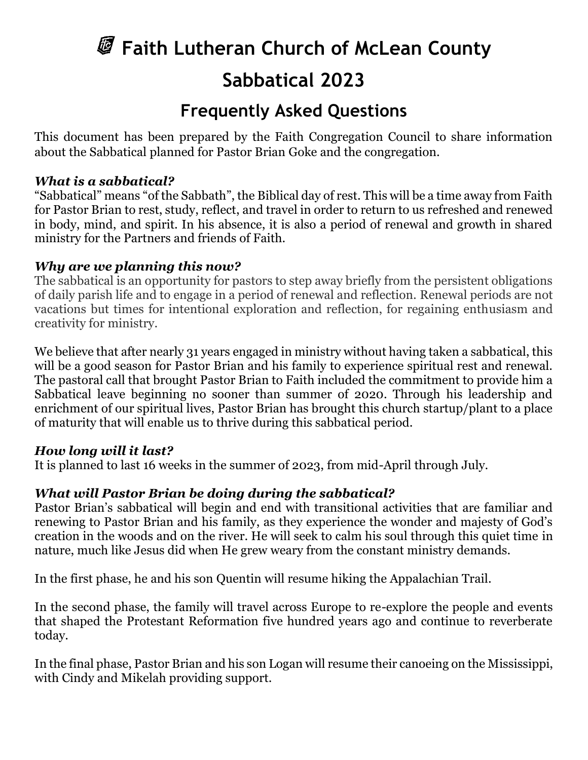# **Faith Lutheran Church of McLean County Sabbatical 2023**

# **Frequently Asked Questions**

This document has been prepared by the Faith Congregation Council to share information about the Sabbatical planned for Pastor Brian Goke and the congregation.

#### *What is a sabbatical?*

"Sabbatical" means "of the Sabbath", the Biblical day of rest. This will be a time away from Faith for Pastor Brian to rest, study, reflect, and travel in order to return to us refreshed and renewed in body, mind, and spirit. In his absence, it is also a period of renewal and growth in shared ministry for the Partners and friends of Faith.

## *Why are we planning this now?*

The sabbatical is an opportunity for pastors to step away briefly from the persistent obligations of daily parish life and to engage in a period of renewal and reflection. Renewal periods are not vacations but times for intentional exploration and reflection, for regaining enthusiasm and creativity for ministry.

We believe that after nearly 31 years engaged in ministry without having taken a sabbatical, this will be a good season for Pastor Brian and his family to experience spiritual rest and renewal. The pastoral call that brought Pastor Brian to Faith included the commitment to provide him a Sabbatical leave beginning no sooner than summer of 2020. Through his leadership and enrichment of our spiritual lives, Pastor Brian has brought this church startup/plant to a place of maturity that will enable us to thrive during this sabbatical period.

#### *How long will it last?*

It is planned to last 16 weeks in the summer of 2023, from mid-April through July.

# *What will Pastor Brian be doing during the sabbatical?*

Pastor Brian's sabbatical will begin and end with transitional activities that are familiar and renewing to Pastor Brian and his family, as they experience the wonder and majesty of God's creation in the woods and on the river. He will seek to calm his soul through this quiet time in nature, much like Jesus did when He grew weary from the constant ministry demands.

In the first phase, he and his son Quentin will resume hiking the Appalachian Trail.

In the second phase, the family will travel across Europe to re-explore the people and events that shaped the Protestant Reformation five hundred years ago and continue to reverberate today.

In the final phase, Pastor Brian and his son Logan will resume their canoeing on the Mississippi, with Cindy and Mikelah providing support.